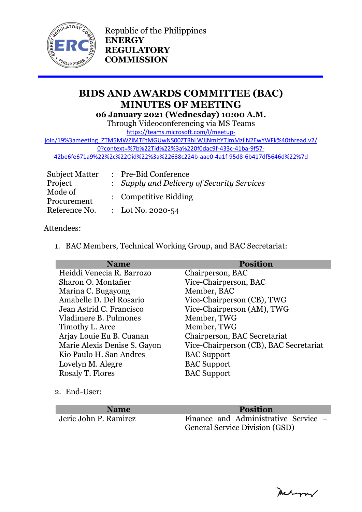

Republic of the Philippines **ENERGY REGULATORY COMMISSION**

# **BIDS AND AWARDS COMMITTEE (BAC) MINUTES OF MEETING 06 January 2021 (Wednesday) 10:00 A.M.**

Through Videoconferencing via MS Teams

[https://teams.microsoft.com/l/meetup-](https://teams.microsoft.com/l/meetup-join/19%3ameeting_ZTM5MWZlMTEtMGUwNS00ZTRhLWJjNmItYTJmMzllN2EwYWFk%40thread.v2/0?context=%7b%22Tid%22%3a%220f0dac9f-433c-41ba-9f57-42be6fe671a9%22%2c%22Oid%22%3a%22638c224b-aae0-4a1f-95d8-6b417df5646d%22%7d)

join/19%3ameeting\_ZTM5MWZIMTEtMGUwNS00ZTRhLWJjNmItYTJmMzllN2EwYWFk%40thread.v2/ [0?context=%7b%22Tid%22%3a%220f0dac9f-433c-41ba-9f57-](https://teams.microsoft.com/l/meetup-join/19%3ameeting_ZTM5MWZlMTEtMGUwNS00ZTRhLWJjNmItYTJmMzllN2EwYWFk%40thread.v2/0?context=%7b%22Tid%22%3a%220f0dac9f-433c-41ba-9f57-42be6fe671a9%22%2c%22Oid%22%3a%22638c224b-aae0-4a1f-95d8-6b417df5646d%22%7d)

[42be6fe671a9%22%2c%22Oid%22%3a%22638c224b-aae0-4a1f-95d8-6b417df5646d%22%7d](https://teams.microsoft.com/l/meetup-join/19%3ameeting_ZTM5MWZlMTEtMGUwNS00ZTRhLWJjNmItYTJmMzllN2EwYWFk%40thread.v2/0?context=%7b%22Tid%22%3a%220f0dac9f-433c-41ba-9f57-42be6fe671a9%22%2c%22Oid%22%3a%22638c224b-aae0-4a1f-95d8-6b417df5646d%22%7d)

| <b>Subject Matter</b>  | : Pre-Bid Conference                       |
|------------------------|--------------------------------------------|
| Project                | : Supply and Delivery of Security Services |
| Mode of<br>Procurement | : Competitive Bidding                      |
| Reference No.          | : Lot No. 2020-54                          |

## Attendees:

1. BAC Members, Technical Working Group, and BAC Secretariat:

| <b>Name</b>                  | <b>Position</b>                        |
|------------------------------|----------------------------------------|
| Heiddi Venecia R. Barrozo    | Chairperson, BAC                       |
| Sharon O. Montañer           | Vice-Chairperson, BAC                  |
| Marina C. Bugayong           | Member, BAC                            |
| Amabelle D. Del Rosario      | Vice-Chairperson (CB), TWG             |
| Jean Astrid C. Francisco     | Vice-Chairperson (AM), TWG             |
| Vladimere B. Pulmones        | Member, TWG                            |
| Timothy L. Arce              | Member, TWG                            |
| Arjay Louie Eu B. Cuanan     | Chairperson, BAC Secretariat           |
| Marie Alexis Denise S. Gayon | Vice-Chairperson (CB), BAC Secretariat |
| Kio Paulo H. San Andres      | <b>BAC</b> Support                     |
| Lovelyn M. Alegre            | <b>BAC</b> Support                     |
| Rosaly T. Flores             | <b>BAC</b> Support                     |

2. End-User:

**Name Position**

Jeric John P. Ramirez Finance and Administrative Service – General Service Division (GSD)

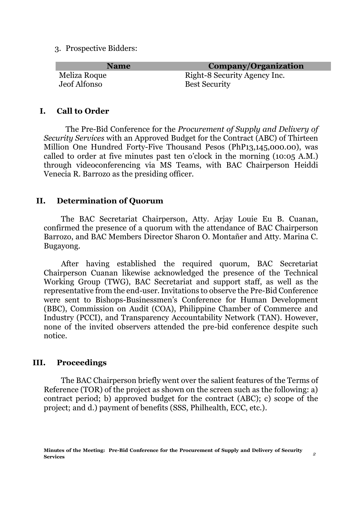3. Prospective Bidders:

| Name         | <b>Company/Organization</b>  |
|--------------|------------------------------|
| Meliza Roque | Right-8 Security Agency Inc. |
| Jeof Alfonso | <b>Best Security</b>         |

### **I. Call to Order**

The Pre-Bid Conference for the *Procurement of Supply and Delivery of Security Services* with an Approved Budget for the Contract (ABC) of Thirteen Million One Hundred Forty-Five Thousand Pesos (PhP13,145,000.00), was called to order at five minutes past ten o'clock in the morning (10:05 A.M.) through videoconferencing via MS Teams, with BAC Chairperson Heiddi Venecia R. Barrozo as the presiding officer.

### **II. Determination of Quorum**

The BAC Secretariat Chairperson, Atty. Arjay Louie Eu B. Cuanan, confirmed the presence of a quorum with the attendance of BAC Chairperson Barrozo, and BAC Members Director Sharon O. Montañer and Atty. Marina C. Bugayong.

After having established the required quorum, BAC Secretariat Chairperson Cuanan likewise acknowledged the presence of the Technical Working Group (TWG), BAC Secretariat and support staff, as well as the representative from the end-user. Invitations to observe the Pre-Bid Conference were sent to Bishops-Businessmen's Conference for Human Development (BBC), Commission on Audit (COA), Philippine Chamber of Commerce and Industry (PCCI), and Transparency Accountability Network (TAN). However, none of the invited observers attended the pre-bid conference despite such notice.

#### **III. Proceedings**

The BAC Chairperson briefly went over the salient features of the Terms of Reference (TOR) of the project as shown on the screen such as the following: a) contract period; b) approved budget for the contract (ABC); c) scope of the project; and d.) payment of benefits (SSS, Philhealth, ECC, etc.).

Sharon O. Montaner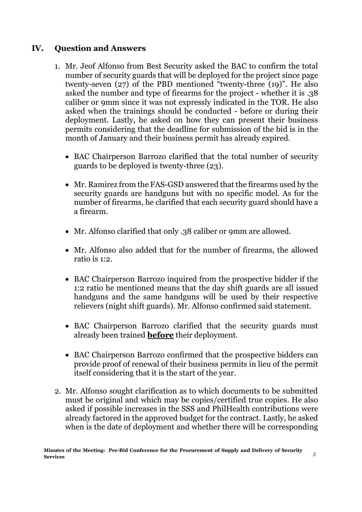# **IV. Question and Answers**

- 1. Mr. Jeof Alfonso from Best Security asked the BAC to confirm the total number of security guards that will be deployed for the project since page twenty-seven (27) of the PBD mentioned "twenty-three (19)". He also asked the number and type of firearms for the project - whether it is .38 caliber or 9mm since it was not expressly indicated in the TOR. He also asked when the trainings should be conducted - before or during their deployment. Lastly, he asked on how they can present their business permits considering that the deadline for submission of the bid is in the month of January and their business permit has already expired.
	- BAC Chairperson Barrozo clarified that the total number of security guards to be deployed is twenty-three (23).
	- Mr. Ramirez from the FAS-GSD answered that the firearms used by the security guards are handguns but with no specific model. As for the number of firearms, he clarified that each security guard should have a a firearm.
	- Mr. Alfonso clarified that only .38 caliber or 9mm are allowed.
	- Mr. Alfonso also added that for the number of firearms, the allowed ratio is 1:2.
	- BAC Chairperson Barrozo inquired from the prospective bidder if the 1:2 ratio he mentioned means that the day shift guards are all issued handguns and the same handguns will be used by their respective relievers (night shift guards). Mr. Alfonso confirmed said statement.
	- BAC Chairperson Barrozo clarified that the security guards must already been trained **before** their deployment.
	- BAC Chairperson Barrozo confirmed that the prospective bidders can provide proof of renewal of their business permits in lieu of the permit itself considering that it is the start of the year.
- 2. Mr. Alfonso sought clarification as to which documents to be submitted must be original and which may be copies/certified true copies. He also asked if possible increases in the SSS and PhilHealth contributions were already factored in the approved budget for the contract. Lastly, he asked when is the date of deployment and whether there will be corresponding

Mechangran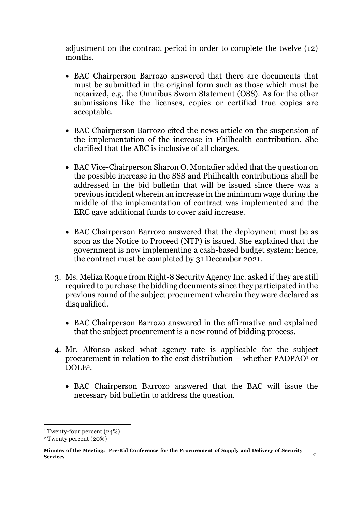adjustment on the contract period in order to complete the twelve (12) months.

- BAC Chairperson Barrozo answered that there are documents that must be submitted in the original form such as those which must be notarized, e.g. the Omnibus Sworn Statement (OSS). As for the other submissions like the licenses, copies or certified true copies are acceptable.
- BAC Chairperson Barrozo cited the news article on the suspension of the implementation of the increase in Philhealth contribution. She clarified that the ABC is inclusive of all charges.
- BAC Vice-Chairperson Sharon O. Montañer added that the question on the possible increase in the SSS and Philhealth contributions shall be addressed in the bid bulletin that will be issued since there was a previous incident wherein an increase in the minimum wage during the middle of the implementation of contract was implemented and the ERC gave additional funds to cover said increase.
- BAC Chairperson Barrozo answered that the deployment must be as soon as the Notice to Proceed (NTP) is issued. She explained that the government is now implementing a cash-based budget system; hence, the contract must be completed by 31 December 2021.
- 3. Ms. Meliza Roque from Right-8 Security Agency Inc. asked if they are still required to purchase the bidding documents since they participated in the previous round of the subject procurement wherein they were declared as disqualified.
	- BAC Chairperson Barrozo answered in the affirmative and explained that the subject procurement is a new round of bidding process.
- 4. Mr. Alfonso asked what agency rate is applicable for the subject procurement in relation to the cost distribution – whether  $PADPAO<sup>1</sup>$  or DOLE2.
	- BAC Chairperson Barrozo answered that the BAC will issue the necessary bid bulletin to address the question.

1

metrymy

<sup>1</sup> Twenty-four percent (24%)

<sup>2</sup> Twenty percent (20%)

**Minutes of the Meeting: Pre-Bid Conference for the Procurement of Supply and Delivery of Security Services** *<sup>4</sup>*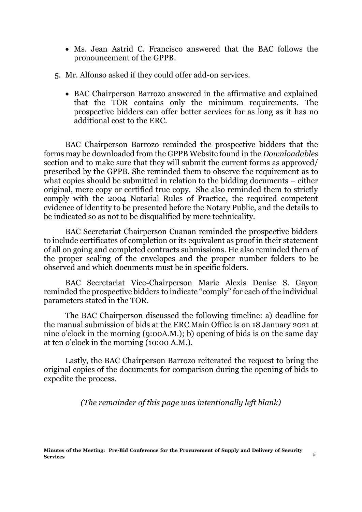- Ms. Jean Astrid C. Francisco answered that the BAC follows the pronouncement of the GPPB.
- 5. Mr. Alfonso asked if they could offer add-on services.
	- BAC Chairperson Barrozo answered in the affirmative and explained that the TOR contains only the minimum requirements. The prospective bidders can offer better services for as long as it has no additional cost to the ERC.

BAC Chairperson Barrozo reminded the prospective bidders that the forms may be downloaded from the GPPB Website found in the *Downloadables*  section and to make sure that they will submit the current forms as approved/ prescribed by the GPPB. She reminded them to observe the requirement as to what copies should be submitted in relation to the bidding documents – either original, mere copy or certified true copy. She also reminded them to strictly comply with the 2004 Notarial Rules of Practice, the required competent evidence of identity to be presented before the Notary Public, and the details to be indicated so as not to be disqualified by mere technicality.

BAC Secretariat Chairperson Cuanan reminded the prospective bidders to include certificates of completion or its equivalent as proof in their statement of all on going and completed contracts submissions. He also reminded them of the proper sealing of the envelopes and the proper number folders to be observed and which documents must be in specific folders.

BAC Secretariat Vice-Chairperson Marie Alexis Denise S. Gayon reminded the prospective bidders to indicate "comply" for each of the individual parameters stated in the TOR.

The BAC Chairperson discussed the following timeline: a) deadline for the manual submission of bids at the ERC Main Office is on 18 January 2021 at nine o'clock in the morning (9:00A.M.); b) opening of bids is on the same day at ten o'clock in the morning (10:00 A.M.).

Lastly, the BAC Chairperson Barrozo reiterated the request to bring the original copies of the documents for comparison during the opening of bids to expedite the process.

*(The remainder of this page was intentionally left blank)*

Mechanon